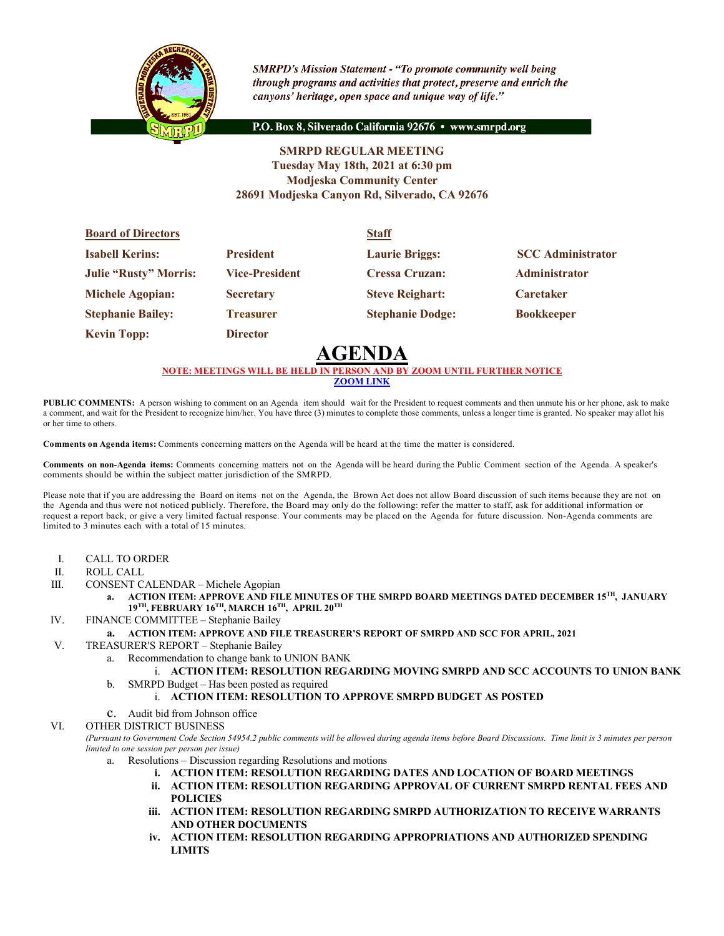

**SMRPD's Mission Statement - "To promote community well being** through programs and activities that protect, preserve and enrich the canyons' heritage, open space and unique way of life."

P.O. Box 8, Silverado California 92676 · www.smrpd.org

## **SMRPD REGULAR MEETING Tuesday May 18th, 2021 at 6:30 pm Modjeska Community Center 28691 Modjeska Canyon Rd, Silverado, CA 92676**

| <b>Board of Directors</b>    |                       | <b>Staff</b>            |                          |
|------------------------------|-----------------------|-------------------------|--------------------------|
| <b>Isabell Kerins:</b>       | <b>President</b>      | <b>Laurie Briggs:</b>   | <b>SCC</b> Administrator |
| <b>Julie "Rusty" Morris:</b> | <b>Vice-President</b> | <b>Cressa Cruzan:</b>   | <b>Administrator</b>     |
| <b>Michele Agopian:</b>      | <b>Secretary</b>      | <b>Steve Reighart:</b>  | <b>Caretaker</b>         |
| <b>Stephanie Bailey:</b>     | <b>Treasurer</b>      | <b>Stephanie Dodge:</b> | <b>Bookkeeper</b>        |
| <b>Kevin Topp:</b>           | <b>Director</b>       |                         |                          |

## **AGENDA**

## **NOTE: MEETINGS WILL BE HELD IN PERSON AND BY ZOOM UNTIL FURTHER NOTICE ZOOM LINK**

**PUBLIC COMMENTS:** A person wishing to comment on an Agenda item should wait for the President to request comments and then unmute his or her phone, ask to make a comment, and wait for the President to recognize him/her. You have three (3) minutes to complete those comments, unless a longer time is granted. No speaker may allot his or her time to others.

**Comments on Agenda items:** Comments concerning matters on the Agenda will be heard at the time the matter is considered.

**Comments on non-Agenda items:** Comments concerning matters not on the Agenda will be heard during the Public Comment section of the Agenda. A speaker's comments should be within the subject matter jurisdiction of the SMRPD.

Please note that if you are addressing the Board on items not on the Agenda, the Brown Act does not allow Board discussion of such items because they are not on the Agenda and thus were not noticed publicly. Therefore, the Board may only do the following: refer the matter to staff, ask for additional information or request a report back, or give a very limited factual response. Your comments may be placed on the Agenda for future discussion. Non-Agenda comments are limited to 3 minutes each with a total of 15 minutes.

- I. CALL TO ORDER
- II. ROLL CALL
- III. CONSENT CALENDAR Michele Agopian
	- **a. ACTION ITEM: APPROVE AND FILE MINUTES OF THE SMRPD BOARD MEETINGS DATED DECEMBER 15TH, JANUARY 19TH, FEBRUARY 16TH, MARCH 16TH, APRIL 20TH**
- IV. FINANCE COMMITTEE Stephanie Bailey
	- **a. ACTION ITEM: APPROVE AND FILE TREASURER'S REPORT OF SMRPD AND SCC FOR APRIL, 2021**
- V. TREASURER'S REPORT Stephanie Bailey
	- a. Recommendation to change bank to UNION BANK
	- i. **ACTION ITEM: RESOLUTION REGARDING MOVING SMRPD AND SCC ACCOUNTS TO UNION BANK** b. SMRPD Budget – Has been posted as required
		- i. **ACTION ITEM: RESOLUTION TO APPROVE SMRPD BUDGET AS POSTED**
	- c. Audit bid from Johnson office

## VI. OTHER DISTRICT BUSINESS

*(Pursuant to Government Code Section 54954.2 public comments will be allowed during agenda items before Board Discussions. Time limit is 3 minutes per person limited to one session per person per issue)*

- a. Resolutions Discussion regarding Resolutions and motions
	- **i. ACTION ITEM: RESOLUTION REGARDING DATES AND LOCATION OF BOARD MEETINGS**
	- **ii. ACTION ITEM: RESOLUTION REGARDING APPROVAL OF CURRENT SMRPD RENTAL FEES AND POLICIES**
	- **iii. ACTION ITEM: RESOLUTION REGARDING SMRPD AUTHORIZATION TO RECEIVE WARRANTS AND OTHER DOCUMENTS**
	- **iv. ACTION ITEM: RESOLUTION REGARDING APPROPRIATIONS AND AUTHORIZED SPENDING LIMITS**